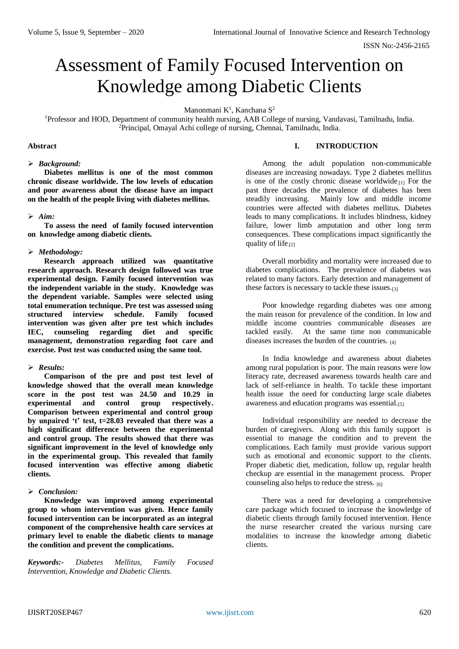# Assessment of Family Focused Intervention on Knowledge among Diabetic Clients

Manonmani  $K^1$ , Kanchana  $S^2$ 

<sup>1</sup>Professor and HOD, Department of community health nursing, AAB College of nursing, Vandavasi, Tamilnadu, India. <sup>2</sup>Principal, Omayal Achi college of nursing, Chennai, Tamilnadu, India.

#### **Abstract**

## *Background:*

**Diabetes mellitus is one of the most common chronic disease worldwide. The low levels of education and poor awareness about the disease have an impact on the health of the people living with diabetes mellitus.** 

## *Aim:*

**To assess the need of family focused intervention on knowledge among diabetic clients.**

## *Methodology:*

**Research approach utilized was quantitative research approach. Research design followed was true experimental design. Family focused intervention was the independent variable in the study. Knowledge was the dependent variable. Samples were selected using total enumeration technique. Pre test was assessed using structured interview schedule. Family focused intervention was given after pre test which includes IEC, counseling regarding diet and specific management, demonstration regarding foot care and exercise. Post test was conducted using the same tool.** 

## *Results:*

**Comparison of the pre and post test level of knowledge showed that the overall mean knowledge score in the post test was 24.50 and 10.29 in experimental and control group respectively. Comparison between experimental and control group by unpaired 't' test, t=28.03 revealed that there was a high significant difference between the experimental and control group. The results showed that there was significant improvement in the level of knowledge only in the experimental group. This revealed that family focused intervention was effective among diabetic clients.** 

#### *Conclusion:*

**Knowledge was improved among experimental group to whom intervention was given. Hence family focused intervention can be incorporated as an integral component of the comprehensive health care services at primary level to enable the diabetic clients to manage the condition and prevent the complications.** 

*Keywords:- Diabetes Mellitus, Family Focused Intervention, Knowledge and Diabetic Clients.*

## **I. INTRODUCTION**

Among the adult population non-communicable diseases are increasing nowadays. Type 2 diabetes mellitus is one of the costly chronic disease worldwide.[1] For the past three decades the prevalence of diabetes has been steadily increasing. Mainly low and middle income countries were affected with diabetes mellitus. Diabetes leads to many complications. It includes blindness, kidney failure, lower limb amputation and other long term consequences. These complications impact significantly the quality of life.[2]

Overall morbidity and mortality were increased due to diabetes complications. The prevalence of diabetes was related to many factors. Early detection and management of these factors is necessary to tackle these issues.[3]

Poor knowledge regarding diabetes was one among the main reason for prevalence of the condition. In low and middle income countries communicable diseases are tackled easily. At the same time non communicable diseases increases the burden of the countries. [4]

In India knowledge and awareness about diabetes among rural population is poor. The main reasons were low literacy rate, decreased awareness towards health care and lack of self-reliance in health. To tackle these important health issue the need for conducting large scale diabetes awareness and education programs was essential.[5]

Individual responsibility are needed to decrease the burden of caregivers. Along with this family support is essential to manage the condition and to prevent the complications. Each family must provide various support such as emotional and economic support to the clients. Proper diabetic diet, medication, follow up, regular health checkup are essential in the management process. Proper counseling also helps to reduce the stress. [6]

There was a need for developing a comprehensive care package which focused to increase the knowledge of diabetic clients through family focused intervention. Hence the nurse researcher created the various nursing care modalities to increase the knowledge among diabetic clients.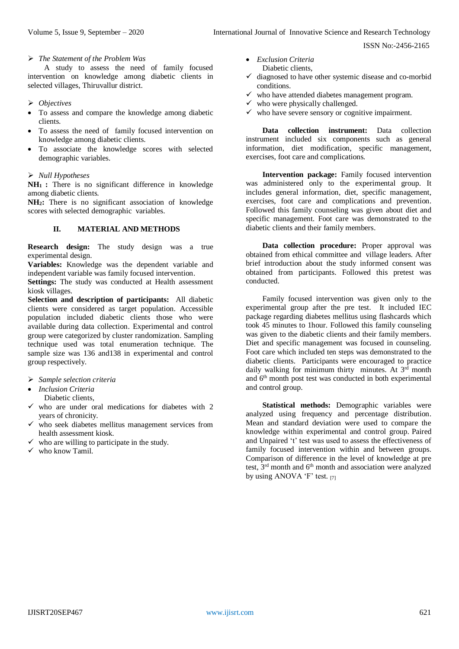#### *The Statement of the Problem Was*

A study to assess the need of family focused intervention on knowledge among diabetic clients in selected villages, Thiruvallur district.

- *Objectives*
- To assess and compare the knowledge among diabetic clients.
- To assess the need of family focused intervention on knowledge among diabetic clients.
- To associate the knowledge scores with selected demographic variables.

# *Null Hypotheses*

**NH1 :** There is no significant difference in knowledge among diabetic clients.

**NH2:** There is no significant association of knowledge scores with selected demographic variables.

## **II. MATERIAL AND METHODS**

**Research design:** The study design was a true experimental design.

**Variables:** Knowledge was the dependent variable and independent variable was family focused intervention.

**Settings:** The study was conducted at Health assessment kiosk villages.

**Selection and description of participants:** All diabetic clients were considered as target population. Accessible population included diabetic clients those who were available during data collection. Experimental and control group were categorized by cluster randomization. Sampling technique used was total enumeration technique. The sample size was 136 and138 in experimental and control group respectively.

- *Sample selection criteria*
- *Inclusion Criteria*  Diabetic clients,
- $\checkmark$  who are under oral medications for diabetes with 2 years of chronicity.
- who seek diabetes mellitus management services from health assessment kiosk.
- $\checkmark$  who are willing to participate in the study.
- $\checkmark$  who know Tamil.
- *Exclusion Criteria*
- Diabetic clients,  $\checkmark$  diagnosed to have other systemic disease and co-morbid
- conditions.
- $\checkmark$  who have attended diabetes management program.
- $\checkmark$  who were physically challenged.
- $\checkmark$  who have severe sensory or cognitive impairment.

**Data collection instrument:** Data collection instrument included six components such as general information, diet modification, specific management, exercises, foot care and complications.

**Intervention package:** Family focused intervention was administered only to the experimental group. It includes general information, diet, specific management, exercises, foot care and complications and prevention. Followed this family counseling was given about diet and specific management. Foot care was demonstrated to the diabetic clients and their family members.

**Data collection procedure:** Proper approval was obtained from ethical committee and village leaders. After brief introduction about the study informed consent was obtained from participants. Followed this pretest was conducted.

Family focused intervention was given only to the experimental group after the pre test. It included IEC package regarding diabetes mellitus using flashcards which took 45 minutes to 1hour. Followed this family counseling was given to the diabetic clients and their family members. Diet and specific management was focused in counseling. Foot care which included ten steps was demonstrated to the diabetic clients. Participants were encouraged to practice daily walking for minimum thirty minutes. At  $3<sup>rd</sup>$  month and 6th month post test was conducted in both experimental and control group.

**Statistical methods:** Demographic variables were analyzed using frequency and percentage distribution. Mean and standard deviation were used to compare the knowledge within experimental and control group. Paired and Unpaired 't' test was used to assess the effectiveness of family focused intervention within and between groups. Comparison of difference in the level of knowledge at pre test, 3rd month and 6th month and association were analyzed by using ANOVA 'F' test. [7]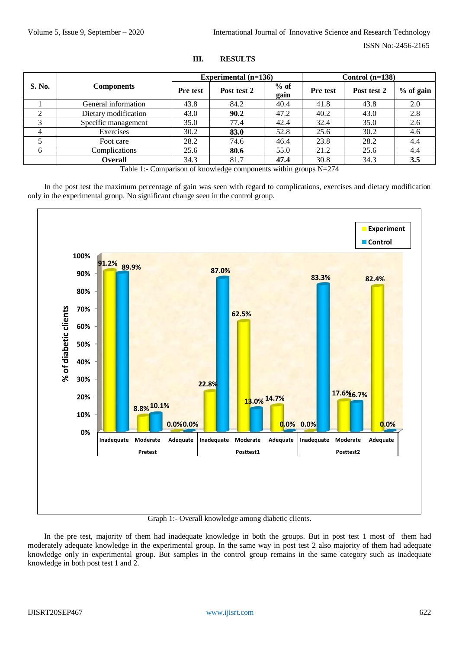| <b>S. No.</b>           | <b>Components</b>    |                 | Experimental $(n=136)$ |                | Control $(n=138)$ |             |           |  |
|-------------------------|----------------------|-----------------|------------------------|----------------|-------------------|-------------|-----------|--|
|                         |                      | <b>Pre</b> test | Post test 2            | $%$ of<br>gain | <b>Pre</b> test   | Post test 2 | % of gain |  |
|                         | General information  | 43.8            | 84.2                   | 40.4           | 41.8              | 43.8        | 2.0       |  |
| ◠                       | Dietary modification | 43.0            | 90.2                   | 47.2           | 40.2              | 43.0        | 2.8       |  |
| $\mathbf{\overline{3}}$ | Specific management  | 35.0            | 77.4                   | 42.4           | 32.4              | 35.0        | 2.6       |  |
| 4                       | Exercises            | 30.2            | 83.0                   | 52.8           | 25.6              | 30.2        | 4.6       |  |
|                         | Foot care            | 28.2            | 74.6                   | 46.4           | 23.8              | 28.2        | 4.4       |  |
| 6                       | Complications        | 25.6            | 80.6                   | 55.0           | 21.2              | 25.6        | 4.4       |  |
|                         | <b>Overall</b>       | 34.3            | 81.7                   | 47.4           | 30.8              | 34.3        | 3.5       |  |

## **III. RESULTS**

Table 1:- Comparison of knowledge components within groups N=274

In the post test the maximum percentage of gain was seen with regard to complications, exercises and dietary modification only in the experimental group. No significant change seen in the control group.



# Graph 1:- Overall knowledge among diabetic clients.

In the pre test, majority of them had inadequate knowledge in both the groups. But in post test 1 most of them had moderately adequate knowledge in the experimental group. In the same way in post test 2 also majority of them had adequate knowledge only in experimental group. But samples in the control group remains in the same category such as inadequate knowledge in both post test 1 and 2.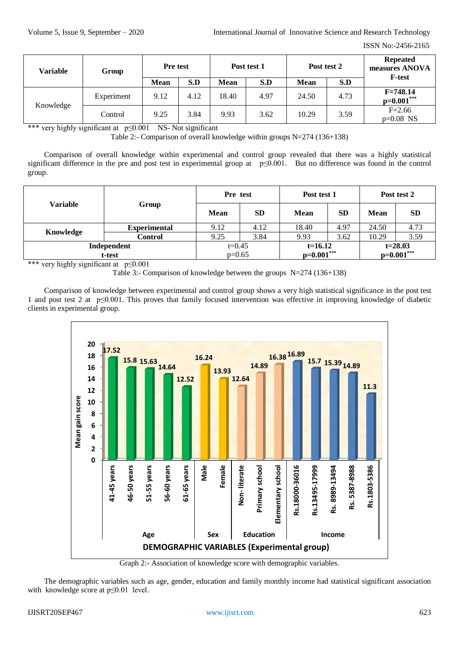| Variable  | Group      | <b>Pre</b> test |      | Post test 1 |      | Post test 2 |      | <b>Repeated</b><br>measures ANOVA |  |
|-----------|------------|-----------------|------|-------------|------|-------------|------|-----------------------------------|--|
|           |            | <b>Mean</b>     | S.D  | <b>Mean</b> | S.D  | <b>Mean</b> | S.D  | <b>F-test</b>                     |  |
|           | Experiment | 9.12            | 4.12 | 18.40       | 4.97 | 24.50       | 4.73 | $F = 748.14$<br>$p=0.001***$      |  |
| Knowledge | Control    | 9.25            | 3.84 | 9.93        | 3.62 | 10.29       | 3.59 | $F = 2.66$<br>$p=0.08$ NS         |  |

\*\*\* very highly significant at p≤0.001 NS- Not significant

Table 2:- Comparison of overall knowledge within groups N=274 (136+138)

Comparison of overall knowledge within experimental and control group revealed that there was a highly statistical significant difference in the pre and post test in experimental group at p≤0.001. But no difference was found in the control group.

|                       | Group               | Pre test             |           | Post test 1               |           | Post test 2                 |           |
|-----------------------|---------------------|----------------------|-----------|---------------------------|-----------|-----------------------------|-----------|
| <b>Variable</b>       |                     | <b>Mean</b>          | <b>SD</b> | <b>Mean</b>               | <b>SD</b> | <b>Mean</b>                 | <b>SD</b> |
|                       | <b>Experimental</b> | 9.12                 | 4.12      | 18.40                     | 4.97      | 24.50                       | 4.73      |
| Knowledge             | <b>Control</b>      | 9.25                 | 3.84      | 9.93                      | 3.62      | 10.29                       | 3.59      |
| Independent<br>t-test |                     | $t=0.45$<br>$p=0.65$ |           | $t=16.12$<br>$p=0.001***$ |           | $t = 28.03$<br>$p=0.001***$ |           |

\*\*\* very highly significant at p≤0.001

Table 3:- Comparison of knowledge between the groups N=274 (136+138)

Comparison of knowledge between experimental and control group shows a very high statistical significance in the post test 1 and post test 2 at p≤0.001. This proves that family focused intervention was effective in improving knowledge of diabetic clients in experimental group.



Graph 2:- Association of knowledge score with demographic variables.

The demographic variables such as age, gender, education and family monthly income had statistical significant association with knowledge score at p≤0.01 level.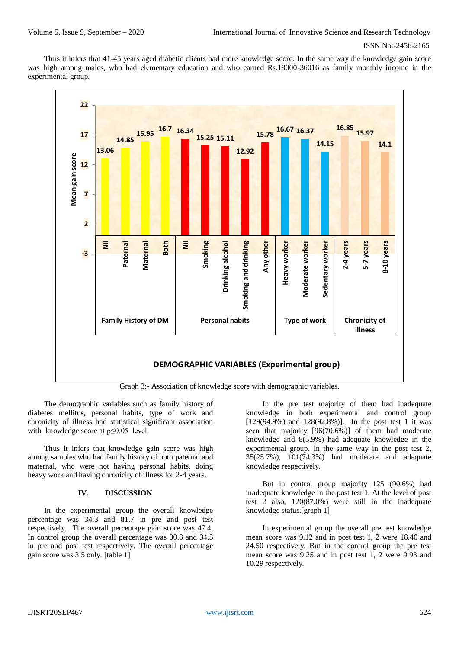Thus it infers that 41-45 years aged diabetic clients had more knowledge score. In the same way the knowledge gain score was high among males, who had elementary education and who earned Rs.18000-36016 as family monthly income in the experimental group.



Graph 3:- Association of knowledge score with demographic variables.

The demographic variables such as family history of diabetes mellitus, personal habits, type of work and chronicity of illness had statistical significant association with knowledge score at p≤0.05 level.

Thus it infers that knowledge gain score was high among samples who had family history of both paternal and maternal, who were not having personal habits, doing heavy work and having chronicity of illness for 2-4 years.

## **IV. DISCUSSION**

In the experimental group the overall knowledge percentage was 34.3 and 81.7 in pre and post test respectively. The overall percentage gain score was 47.4. In control group the overall percentage was 30.8 and 34.3 in pre and post test respectively. The overall percentage gain score was 3.5 only. [table 1]

In the pre test majority of them had inadequate knowledge in both experimental and control group [129(94.9%) and 128(92.8%)]. In the post test 1 it was seen that majority [96(70.6%)] of them had moderate knowledge and 8(5.9%) had adequate knowledge in the experimental group. In the same way in the post test 2, 35(25.7%), 101(74.3%) had moderate and adequate knowledge respectively.

But in control group majority 125 (90.6%) had inadequate knowledge in the post test 1. At the level of post test 2 also, 120(87.0%) were still in the inadequate knowledge status.[graph 1]

In experimental group the overall pre test knowledge mean score was 9.12 and in post test 1, 2 were 18.40 and 24.50 respectively. But in the control group the pre test mean score was 9.25 and in post test 1, 2 were 9.93 and 10.29 respectively.